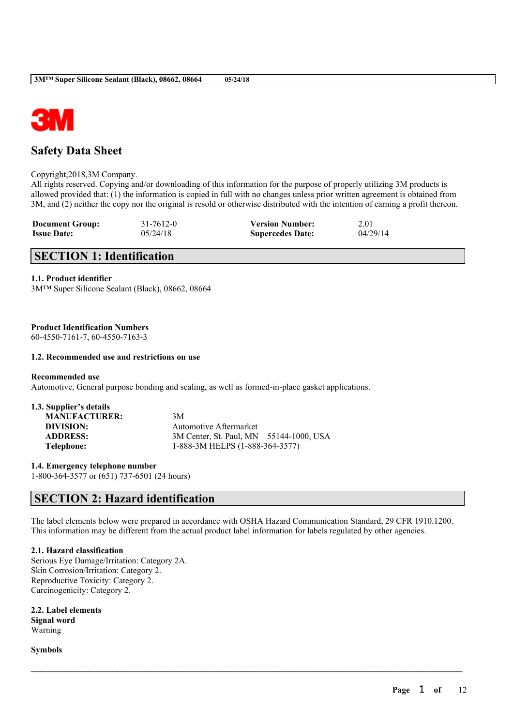

# **Safety Data Sheet**

### Copyright,2018,3M Company.

All rights reserved. Copying and/or downloading of this information for the purpose of properly utilizing 3M products is allowed provided that: (1) the information is copied in full with no changes unless prior written agreement is obtained from 3M, and (2) neither the copy nor the original is resold or otherwise distributed with the intention of earning a profit thereon.

| <b>Document Group:</b> | 31-7612-0 | <b>Version Number:</b>  | 2.01     |
|------------------------|-----------|-------------------------|----------|
| <b>Issue Date:</b>     | 05/24/18  | <b>Supercedes Date:</b> | 04/29/14 |

# **SECTION 1: Identification**

### **1.1. Product identifier**

3M™ Super Silicone Sealant (Black), 08662, 08664

### **Product Identification Numbers**

60-4550-7161-7, 60-4550-7163-3

### **1.2. Recommended use and restrictions on use**

### **Recommended use**

Automotive, General purpose bonding and sealing, as well as formed-in-place gasket applications.

| 1.3. Supplier's details |                                         |  |
|-------------------------|-----------------------------------------|--|
| <b>MANUFACTURER:</b>    | 3M                                      |  |
| DIVISION:               | Automotive Aftermarket                  |  |
| <b>ADDRESS:</b>         | 3M Center, St. Paul, MN 55144-1000, USA |  |
| Telephone:              | 1-888-3M HELPS (1-888-364-3577)         |  |
|                         |                                         |  |

**1.4. Emergency telephone number**

1-800-364-3577 or (651) 737-6501 (24 hours)

# **SECTION 2: Hazard identification**

The label elements below were prepared in accordance with OSHA Hazard Communication Standard, 29 CFR 1910.1200. This information may be different from the actual product label information for labels regulated by other agencies.

 $\mathcal{L}_\mathcal{L} = \mathcal{L}_\mathcal{L} = \mathcal{L}_\mathcal{L} = \mathcal{L}_\mathcal{L} = \mathcal{L}_\mathcal{L} = \mathcal{L}_\mathcal{L} = \mathcal{L}_\mathcal{L} = \mathcal{L}_\mathcal{L} = \mathcal{L}_\mathcal{L} = \mathcal{L}_\mathcal{L} = \mathcal{L}_\mathcal{L} = \mathcal{L}_\mathcal{L} = \mathcal{L}_\mathcal{L} = \mathcal{L}_\mathcal{L} = \mathcal{L}_\mathcal{L} = \mathcal{L}_\mathcal{L} = \mathcal{L}_\mathcal{L}$ 

### **2.1. Hazard classification**

Serious Eye Damage/Irritation: Category 2A. Skin Corrosion/Irritation: Category 2. Reproductive Toxicity: Category 2. Carcinogenicity: Category 2.

**2.2. Label elements Signal word** Warning

**Symbols**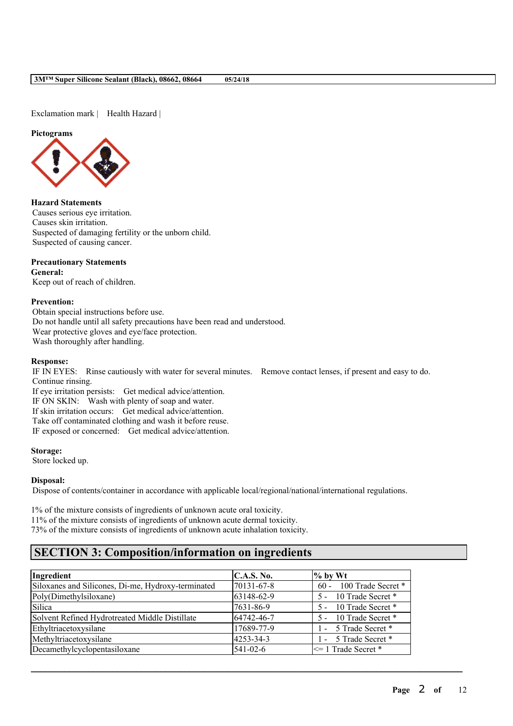Exclamation mark | Health Hazard |

### **Pictograms**



## **Hazard Statements**

Causes serious eye irritation. Causes skin irritation. Suspected of damaging fertility or the unborn child. Suspected of causing cancer.

## **Precautionary Statements**

**General:** Keep out of reach of children.

### **Prevention:**

Obtain special instructions before use. Do not handle until all safety precautions have been read and understood. Wear protective gloves and eye/face protection. Wash thoroughly after handling.

### **Response:**

IF IN EYES: Rinse cautiously with water for several minutes. Remove contact lenses, if present and easy to do. Continue rinsing.

If eye irritation persists: Get medical advice/attention. IF ON SKIN: Wash with plenty of soap and water. If skin irritation occurs: Get medical advice/attention. Take off contaminated clothing and wash it before reuse. IF exposed or concerned: Get medical advice/attention.

### **Storage:**

Store locked up.

### **Disposal:**

Dispose of contents/container in accordance with applicable local/regional/national/international regulations.

1% of the mixture consists of ingredients of unknown acute oral toxicity.

11% of the mixture consists of ingredients of unknown acute dermal toxicity.

73% of the mixture consists of ingredients of unknown acute inhalation toxicity.

# **SECTION 3: Composition/information on ingredients**

| Ingredient                                         | C.A.S. No.     | $%$ by Wt                    |
|----------------------------------------------------|----------------|------------------------------|
| Siloxanes and Silicones, Di-me, Hydroxy-terminated | 70131-67-8     | 100 Trade Secret *<br>$60 -$ |
| Poly(Dimethylsiloxane)                             | 63148-62-9     | 10 Trade Secret *<br>$5 -$   |
| Silica                                             | 7631-86-9      | 5 - 10 Trade Secret *        |
| Solvent Refined Hydrotreated Middle Distillate     | 64742-46-7     | 5 - 10 Trade Secret *        |
| Ethyltriacetoxysilane                              | 17689-77-9     | - 5 Trade Secret *           |
| Methyltriacetoxysilane                             | 4253-34-3      | 1 - 5 Trade Secret *         |
| Decamethylcyclopentasiloxane                       | $541 - 02 - 6$ | $\leq$ 1 Trade Secret *      |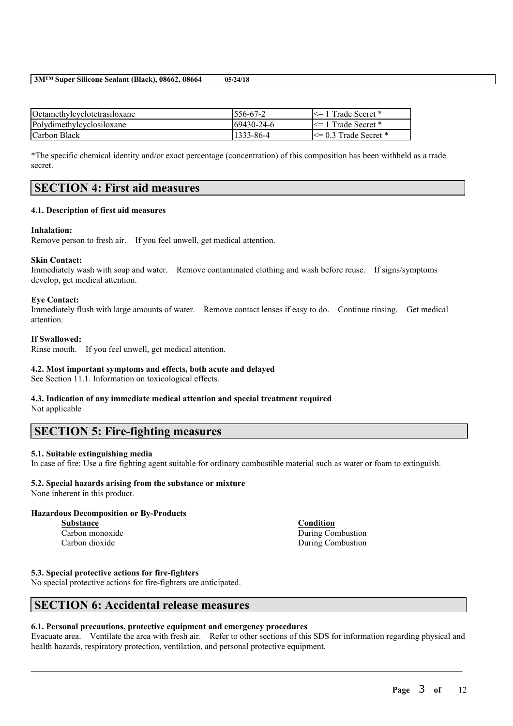| Octamethylcyclotetrasiloxane | $1556 - 67 - 2$   | $\leq$ 1 Trade Secret *   |
|------------------------------|-------------------|---------------------------|
| Polydimethylcyclosiloxane    | $169430 - 24 - 6$ | $\leq$ 1 Trade Secret *   |
| Carbon Black                 | 1333-86-4         | $\leq$ 0.3 Trade Secret * |

\*The specific chemical identity and/or exact percentage (concentration) of this composition has been withheld as a trade secret.

## **SECTION 4: First aid measures**

### **4.1. Description of first aid measures**

### **Inhalation:**

Remove person to fresh air. If you feel unwell, get medical attention.

## **Skin Contact:**

Immediately wash with soap and water. Remove contaminated clothing and wash before reuse. If signs/symptoms develop, get medical attention.

### **Eye Contact:**

Immediately flush with large amounts of water. Remove contact lenses if easy to do. Continue rinsing. Get medical attention.

### **If Swallowed:**

Rinse mouth. If you feel unwell, get medical attention.

### **4.2. Most important symptoms and effects, both acute and delayed**

See Section 11.1. Information on toxicological effects.

## **4.3. Indication of any immediate medical attention and special treatment required**

Not applicable

# **SECTION 5: Fire-fighting measures**

### **5.1. Suitable extinguishing media**

In case of fire: Use a fire fighting agent suitable for ordinary combustible material such as water or foam to extinguish.

## **5.2. Special hazards arising from the substance or mixture**

None inherent in this product.

# **Hazardous Decomposition or By-Products**

**Substance Condition**

Carbon monoxide During Combustion Carbon dioxide During Combustion

## **5.3. Special protective actions for fire-fighters**

No special protective actions for fire-fighters are anticipated.

# **SECTION 6: Accidental release measures**

### **6.1. Personal precautions, protective equipment and emergency procedures**

Evacuate area. Ventilate the area with fresh air. Refer to other sections of this SDS for information regarding physical and health hazards, respiratory protection, ventilation, and personal protective equipment.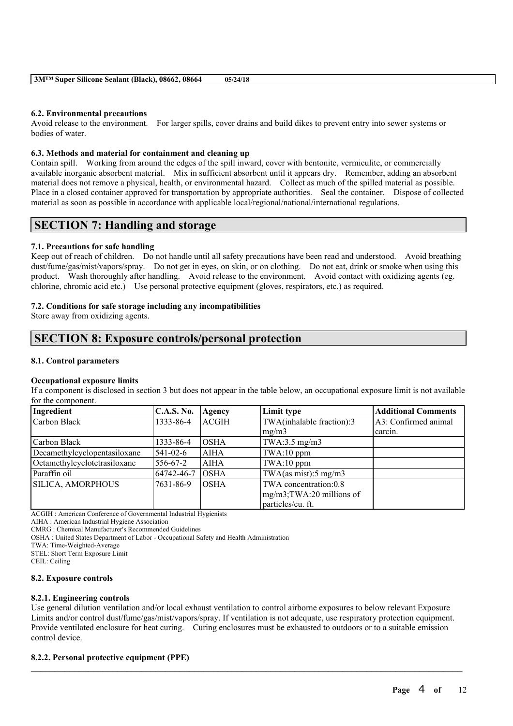### **6.2. Environmental precautions**

Avoid release to the environment. For larger spills, cover drains and build dikes to prevent entry into sewer systems or bodies of water.

### **6.3. Methods and material for containment and cleaning up**

Contain spill. Working from around the edges of the spill inward, cover with bentonite, vermiculite, or commercially available inorganic absorbent material. Mix in sufficient absorbent until it appears dry. Remember, adding an absorbent material does not remove a physical, health, or environmental hazard. Collect as much of the spilled material as possible. Place in a closed container approved for transportation by appropriate authorities. Seal the container. Dispose of collected material as soon as possible in accordance with applicable local/regional/national/international regulations.

## **SECTION 7: Handling and storage**

### **7.1. Precautions for safe handling**

Keep out of reach of children. Do not handle until all safety precautions have been read and understood. Avoid breathing dust/fume/gas/mist/vapors/spray. Do not get in eyes, on skin, or on clothing. Do not eat, drink or smoke when using this product. Wash thoroughly after handling. Avoid release to the environment. Avoid contact with oxidizing agents (eg. chlorine, chromic acid etc.) Use personal protective equipment (gloves, respirators, etc.) as required.

### **7.2. Conditions for safe storage including any incompatibilities**

Store away from oxidizing agents.

# **SECTION 8: Exposure controls/personal protection**

### **8.1. Control parameters**

### **Occupational exposure limits**

If a component is disclosed in section 3 but does not appear in the table below, an occupational exposure limit is not available for the component.

| Ingredient                   | <b>C.A.S. No.</b> | Agency       | Limit type                    | <b>Additional Comments</b> |
|------------------------------|-------------------|--------------|-------------------------------|----------------------------|
| Carbon Black                 | 1333-86-4         | <b>ACGIH</b> | TWA(inhalable fraction):3     | A3: Confirmed animal       |
|                              |                   |              | mg/m3                         | carcin.                    |
| Carbon Black                 | 1333-86-4         | <b>OSHA</b>  | TWA: $3.5 \text{ mg/m}$ 3     |                            |
| Decamethylcyclopentasiloxane | $541 - 02 - 6$    | <b>AIHA</b>  | $TWA:10$ ppm                  |                            |
| Octamethylcyclotetrasiloxane | 556-67-2          | <b>AIHA</b>  | TWA:10 ppm                    |                            |
| Paraffin oil                 | 64742-46-7        | <b>OSHA</b>  | TWA(as mist):5 mg/m3          |                            |
| <b>SILICA, AMORPHOUS</b>     | 7631-86-9         | IOSHA        | TWA concentration:0.8         |                            |
|                              |                   |              | $mg/m3$ ; TWA: 20 millions of |                            |
|                              |                   |              | particles/cu. ft.             |                            |

ACGIH : American Conference of Governmental Industrial Hygienists

AIHA : American Industrial Hygiene Association

CMRG : Chemical Manufacturer's Recommended Guidelines

OSHA : United States Department of Labor - Occupational Safety and Health Administration

TWA: Time-Weighted-Average

STEL: Short Term Exposure Limit

CEIL: Ceiling

### **8.2. Exposure controls**

### **8.2.1. Engineering controls**

Use general dilution ventilation and/or local exhaust ventilation to control airborne exposures to below relevant Exposure Limits and/or control dust/fume/gas/mist/vapors/spray. If ventilation is not adequate, use respiratory protection equipment. Provide ventilated enclosure for heat curing. Curing enclosures must be exhausted to outdoors or to a suitable emission control device.

 $\mathcal{L}_\mathcal{L} = \mathcal{L}_\mathcal{L} = \mathcal{L}_\mathcal{L} = \mathcal{L}_\mathcal{L} = \mathcal{L}_\mathcal{L} = \mathcal{L}_\mathcal{L} = \mathcal{L}_\mathcal{L} = \mathcal{L}_\mathcal{L} = \mathcal{L}_\mathcal{L} = \mathcal{L}_\mathcal{L} = \mathcal{L}_\mathcal{L} = \mathcal{L}_\mathcal{L} = \mathcal{L}_\mathcal{L} = \mathcal{L}_\mathcal{L} = \mathcal{L}_\mathcal{L} = \mathcal{L}_\mathcal{L} = \mathcal{L}_\mathcal{L}$ 

### **8.2.2. Personal protective equipment (PPE)**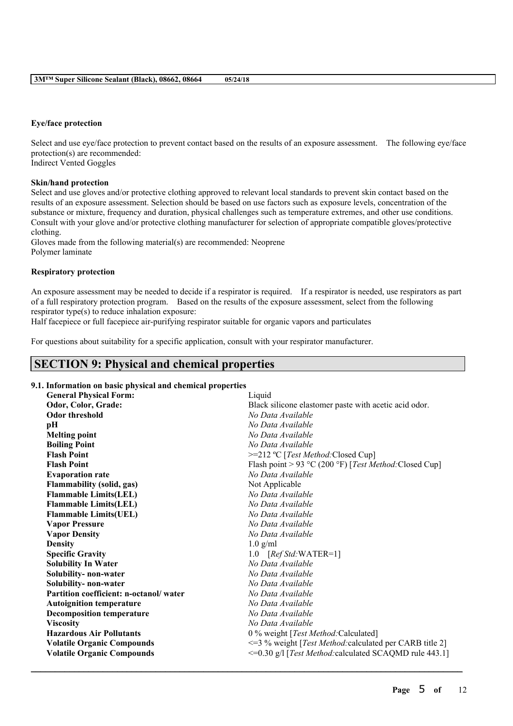### **Eye/face protection**

Select and use eye/face protection to prevent contact based on the results of an exposure assessment. The following eye/face protection(s) are recommended: Indirect Vented Goggles

### **Skin/hand protection**

Select and use gloves and/or protective clothing approved to relevant local standards to prevent skin contact based on the results of an exposure assessment. Selection should be based on use factors such as exposure levels, concentration of the substance or mixture, frequency and duration, physical challenges such as temperature extremes, and other use conditions. Consult with your glove and/or protective clothing manufacturer for selection of appropriate compatible gloves/protective clothing.

Gloves made from the following material(s) are recommended: Neoprene Polymer laminate

### **Respiratory protection**

An exposure assessment may be needed to decide if a respirator is required. If a respirator is needed, use respirators as part of a full respiratory protection program. Based on the results of the exposure assessment, select from the following respirator type(s) to reduce inhalation exposure:

Half facepiece or full facepiece air-purifying respirator suitable for organic vapors and particulates

For questions about suitability for a specific application, consult with your respirator manufacturer.

# **SECTION 9: Physical and chemical properties**

### **9.1. Information on basic physical and chemical properties**

| <b>General Physical Form:</b>          | Liquid                                                           |
|----------------------------------------|------------------------------------------------------------------|
| Odor, Color, Grade:                    | Black silicone elastomer paste with acetic acid odor.            |
| <b>Odor threshold</b>                  | No Data Available                                                |
| pН                                     | No Data Available                                                |
| <b>Melting point</b>                   | No Data Available                                                |
| <b>Boiling Point</b>                   | No Data Available                                                |
| <b>Flash Point</b>                     | >=212 °C [Test Method: Closed Cup]                               |
| <b>Flash Point</b>                     | Flash point > 93 °C (200 °F) [Test Method: Closed Cup]           |
| <b>Evaporation rate</b>                | No Data Available                                                |
| Flammability (solid, gas)              | Not Applicable                                                   |
| <b>Flammable Limits(LEL)</b>           | No Data Available                                                |
| <b>Flammable Limits(LEL)</b>           | No Data Available                                                |
| <b>Flammable Limits(UEL)</b>           | No Data Available                                                |
| <b>Vapor Pressure</b>                  | No Data Available                                                |
| <b>Vapor Density</b>                   | No Data Available                                                |
| <b>Density</b>                         | $1.0$ g/ml                                                       |
| <b>Specific Gravity</b>                | 1.0 [Ref Std: WATER=1]                                           |
| <b>Solubility In Water</b>             | No Data Available                                                |
| Solubility- non-water                  | No Data Available                                                |
| Solubility- non-water                  | No Data Available                                                |
| Partition coefficient: n-octanol/water | No Data Available                                                |
| <b>Autoignition temperature</b>        | No Data Available                                                |
| <b>Decomposition temperature</b>       | No Data Available                                                |
| <b>Viscosity</b>                       | No Data Available                                                |
| <b>Hazardous Air Pollutants</b>        | 0 % weight [Test Method: Calculated]                             |
| <b>Volatile Organic Compounds</b>      | <= 3 % weight [ <i>Test Method:</i> calculated per CARB title 2] |
| <b>Volatile Organic Compounds</b>      | <= 0.30 g/l [Test Method: calculated SCAQMD rule 443.1]          |
|                                        |                                                                  |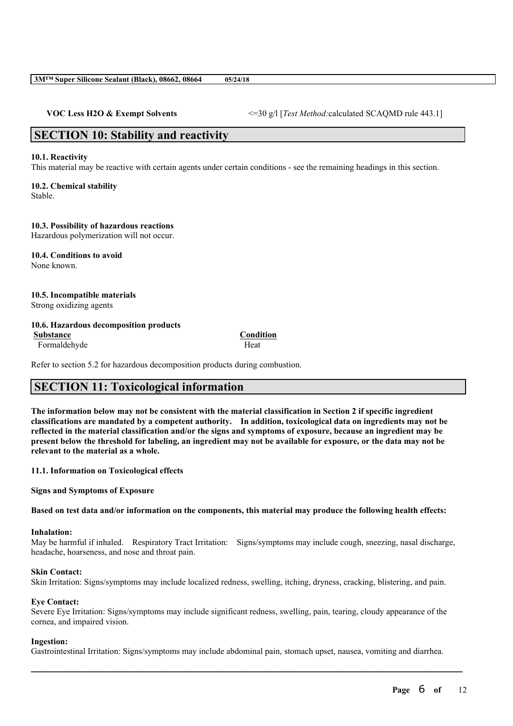**VOC Less H2O & Exempt Solvents** <=30 g/l [*Test Method:*calculated SCAQMD rule 443.1]

# **SECTION 10: Stability and reactivity**

### **10.1. Reactivity**

This material may be reactive with certain agents under certain conditions - see the remaining headings in this section.

## **10.2. Chemical stability**

Stable.

# **10.3. Possibility of hazardous reactions**

Hazardous polymerization will not occur.

#### **10.4. Conditions to avoid** None known.

# **10.5. Incompatible materials**

Strong oxidizing agents

### **10.6. Hazardous decomposition products Substance Condition**

Formaldehyde Heat

Refer to section 5.2 for hazardous decomposition products during combustion.

# **SECTION 11: Toxicological information**

The information below may not be consistent with the material classification in Section 2 if specific ingredient **classifications are mandated by a competent authority. In addition, toxicological data on ingredients may not be** reflected in the material classification and/or the signs and symptoms of exposure, because an ingredient may be present below the threshold for labeling, an ingredient may not be available for exposure, or the data may not be **relevant to the material as a whole.**

### **11.1. Information on Toxicological effects**

**Signs and Symptoms of Exposure**

Based on test data and/or information on the components, this material may produce the following health effects:

### **Inhalation:**

May be harmful if inhaled. Respiratory Tract Irritation: Signs/symptoms may include cough, sneezing, nasal discharge, headache, hoarseness, and nose and throat pain.

### **Skin Contact:**

Skin Irritation: Signs/symptoms may include localized redness, swelling, itching, dryness, cracking, blistering, and pain.

### **Eye Contact:**

Severe Eye Irritation: Signs/symptoms may include significant redness, swelling, pain, tearing, cloudy appearance of the cornea, and impaired vision.

### **Ingestion:**

Gastrointestinal Irritation: Signs/symptoms may include abdominal pain, stomach upset, nausea, vomiting and diarrhea.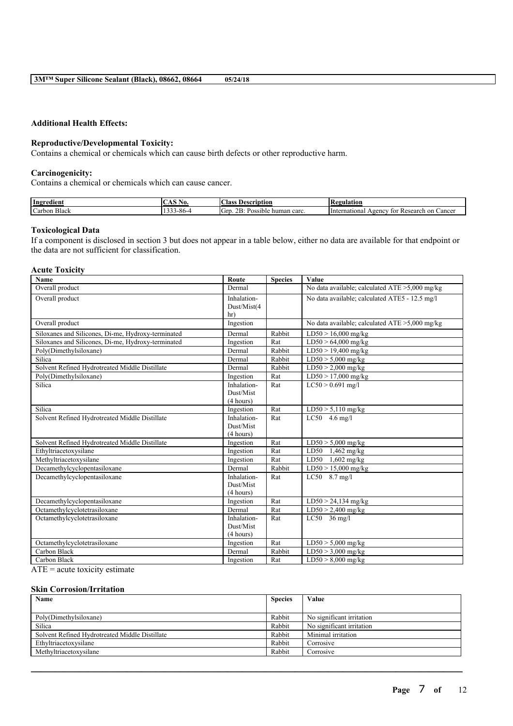### **Additional Health Effects:**

### **Reproductive/Developmental Toxicity:**

Contains a chemical or chemicals which can cause birth defects or other reproductive harm.

### **Carcinogenicity:**

Contains a chemical or chemicals which can cause cancer.

| Ingredient                      | .<br>AO.  | $\sim$<br>:lass<br>Description                                             | <b>tegulation</b>                                                                           |
|---------------------------------|-----------|----------------------------------------------------------------------------|---------------------------------------------------------------------------------------------|
| <b>The C</b><br>Carbon<br>Black | `−o∪<br>. | $\sim$<br>$\mathbf{r}$<br>∽<br>human carc.<br><b>POSSIBLE</b><br>UID<br>-- | Cancer<br><i>International</i><br>∵on<br>esearch<br>$\Lambda$ Agency<br>TOT<br>T PS.<br>٦с. |

### **Toxicological Data**

If a component is disclosed in section 3 but does not appear in a table below, either no data are available for that endpoint or the data are not sufficient for classification.

#### **Acute Toxicity**

| Name                                               | Route                      | <b>Species</b> | Value                                             |
|----------------------------------------------------|----------------------------|----------------|---------------------------------------------------|
| Overall product                                    | Dermal                     |                | No data available; calculated $ATE > 5,000$ mg/kg |
| Overall product                                    | Inhalation-<br>Dust/Mist(4 |                | No data available; calculated ATE5 - 12.5 mg/l    |
|                                                    | hr)                        |                |                                                   |
| Overall product                                    | Ingestion                  |                | No data available; calculated ATE >5,000 mg/kg    |
| Siloxanes and Silicones, Di-me, Hydroxy-terminated | Dermal                     | Rabbit         | $LD50 > 16,000$ mg/kg                             |
| Siloxanes and Silicones, Di-me, Hydroxy-terminated | Ingestion                  | Rat            | $LD50 > 64,000$ mg/kg                             |
| Poly(Dimethylsiloxane)                             | Dermal                     | Rabbit         | $LD50 > 19,400$ mg/kg                             |
| Silica                                             | Dermal                     | Rabbit         | $LD50 > 5,000$ mg/kg                              |
| Solvent Refined Hydrotreated Middle Distillate     | Dermal                     | Rabbit         | $LD50 > 2,000$ mg/kg                              |
| Poly(Dimethylsiloxane)                             | Ingestion                  | Rat            | $LD50 > 17,000$ mg/kg                             |
| Silica                                             | Inhalation-                | Rat            | $LC50 > 0.691$ mg/l                               |
|                                                    | Dust/Mist                  |                |                                                   |
|                                                    | (4 hours)                  |                |                                                   |
| Silica                                             | Ingestion                  | Rat            | $LD50 > 5,110$ mg/kg                              |
| Solvent Refined Hydrotreated Middle Distillate     | Inhalation-                | Rat            | $\overline{LC50}$ 4.6 mg/l                        |
|                                                    | Dust/Mist                  |                |                                                   |
|                                                    | (4 hours)                  |                |                                                   |
| Solvent Refined Hydrotreated Middle Distillate     | Ingestion                  | Rat            | $LD50 > 5,000$ mg/kg                              |
| Ethyltriacetoxysilane                              | Ingestion                  | Rat            | $LD50$ 1,462 mg/kg                                |
| Methyltriacetoxysilane                             | Ingestion                  | Rat            | LD50<br>$1,602$ mg/kg                             |
| Decamethylcyclopentasiloxane                       | Dermal                     | Rabbit         | $LD50 > 15,000$ mg/kg                             |
| Decamethylcyclopentasiloxane                       | Inhalation-                | Rat            | $LC50$ 8.7 mg/l                                   |
|                                                    | Dust/Mist                  |                |                                                   |
|                                                    | (4 hours)                  |                |                                                   |
| Decamethylcyclopentasiloxane                       | Ingestion                  | Rat            | $LD50 > 24,134$ mg/kg                             |
| Octamethylcyclotetrasiloxane                       | Dermal                     | Rat            | $LD50 > 2,400$ mg/kg                              |
| Octamethylcyclotetrasiloxane                       | Inhalation-                | Rat            | $LC50$ 36 mg/l                                    |
|                                                    | Dust/Mist                  |                |                                                   |
|                                                    | (4 hours)                  |                |                                                   |
| Octamethylcyclotetrasiloxane                       | Ingestion                  | Rat            | $LD50 > 5,000$ mg/kg                              |
| Carbon Black                                       | Dermal                     | Rabbit         | $LD50 > 3,000$ mg/kg                              |
| Carbon Black                                       | Ingestion                  | Rat            | $LD50 > 8,000$ mg/kg                              |

ATE = acute toxicity estimate

### **Skin Corrosion/Irritation**

| Name                                           | <b>Species</b> | Value                     |
|------------------------------------------------|----------------|---------------------------|
|                                                |                |                           |
| Poly(Dimethylsiloxane)                         | Rabbit         | No significant irritation |
| Silica                                         | Rabbit         | No significant irritation |
| Solvent Refined Hydrotreated Middle Distillate | Rabbit         | Minimal irritation        |
| Ethyltriacetoxysilane                          | Rabbit         | Corrosive                 |
| Methyltriacetoxysilane                         | Rabbit         | Corrosive                 |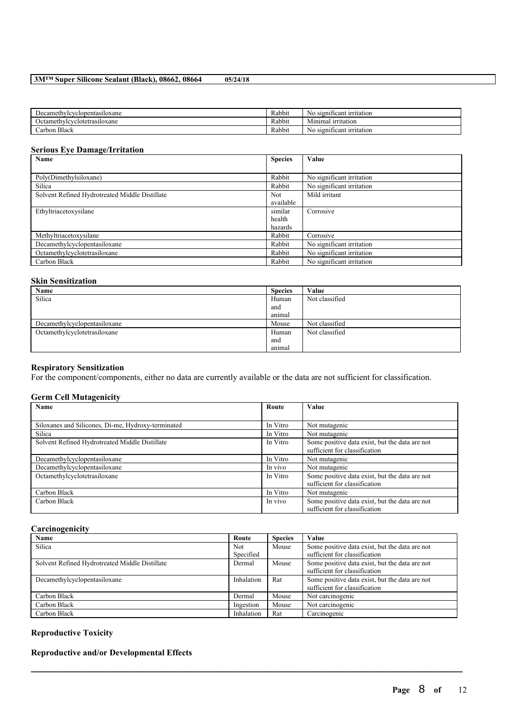| 3MTM Super Silicone Sealant (Black), 08662, 08664 |  | 05/24/18 |
|---------------------------------------------------|--|----------|
|---------------------------------------------------|--|----------|

| Jecamethylcyclopentasiloxane    | Rabbit | $\sim$<br>t irritation<br>$\cdot$ signi<br>1cant<br>NΩ |
|---------------------------------|--------|--------------------------------------------------------|
| Octamethylcyclotetrasiloxane    | Rabbit | . irritation<br>Mınımal                                |
| $\mathbf{D}$<br>Black<br>∠arbon | Rabbit | - 20<br>t irritation<br>, significant<br>NΟ            |

## **Serious Eye Damage/Irritation**

| Name                                           | <b>Species</b> | Value                     |
|------------------------------------------------|----------------|---------------------------|
|                                                |                |                           |
| Poly(Dimethylsiloxane)                         | Rabbit         | No significant irritation |
| Silica                                         | Rabbit         | No significant irritation |
| Solvent Refined Hydrotreated Middle Distillate | <b>Not</b>     | Mild irritant             |
|                                                | available      |                           |
| Ethyltriacetoxysilane                          | similar        | Corrosive                 |
|                                                | health         |                           |
|                                                | hazards        |                           |
| Methyltriacetoxysilane                         | Rabbit         | Corrosive                 |
| Decamethylcyclopentasiloxane                   | Rabbit         | No significant irritation |
| Octamethylcyclotetrasiloxane                   | Rabbit         | No significant irritation |
| Carbon Black                                   | Rabbit         | No significant irritation |

## **Skin Sensitization**

| Name                         | <b>Species</b> | Value          |
|------------------------------|----------------|----------------|
| Silica                       | Human          | Not classified |
|                              | and            |                |
|                              | animal         |                |
| Decamethylcyclopentasiloxane | Mouse          | Not classified |
| Octamethylcyclotetrasiloxane | Human          | Not classified |
|                              | and            |                |
|                              | animal         |                |

## **Respiratory Sensitization**

For the component/components, either no data are currently available or the data are not sufficient for classification.

## **Germ Cell Mutagenicity**

| Name                                               | Route    | Value                                                                           |
|----------------------------------------------------|----------|---------------------------------------------------------------------------------|
|                                                    |          |                                                                                 |
| Siloxanes and Silicones, Di-me, Hydroxy-terminated | In Vitro | Not mutagenic                                                                   |
| Silica                                             | In Vitro | Not mutagenic                                                                   |
| Solvent Refined Hydrotreated Middle Distillate     | In Vitro | Some positive data exist, but the data are not<br>sufficient for classification |
| Decamethylcyclopentasiloxane                       | In Vitro | Not mutagenic                                                                   |
| Decamethylcyclopentasiloxane                       | In vivo  | Not mutagenic                                                                   |
| Octamethylcyclotetrasiloxane                       | In Vitro | Some positive data exist, but the data are not<br>sufficient for classification |
| Carbon Black                                       | In Vitro | Not mutagenic                                                                   |
| Carbon Black                                       | In vivo  | Some positive data exist, but the data are not<br>sufficient for classification |

## **Carcinogenicity**

| Name                                           | Route            | <b>Species</b> | Value                                                                           |
|------------------------------------------------|------------------|----------------|---------------------------------------------------------------------------------|
| Silica                                         | Not<br>Specified | Mouse          | Some positive data exist, but the data are not<br>sufficient for classification |
| Solvent Refined Hydrotreated Middle Distillate | Dermal           | Mouse          | Some positive data exist, but the data are not<br>sufficient for classification |
| Decamethylcyclopentasiloxane                   | Inhalation       | Rat            | Some positive data exist, but the data are not<br>sufficient for classification |
| Carbon Black                                   | Dermal           | Mouse          | Not carcinogenic                                                                |
| Carbon Black                                   | Ingestion        | Mouse          | Not carcinogenic                                                                |
| Carbon Black                                   | Inhalation       | Rat            | Carcinogenic                                                                    |

 $\mathcal{L}_\mathcal{L} = \mathcal{L}_\mathcal{L} = \mathcal{L}_\mathcal{L} = \mathcal{L}_\mathcal{L} = \mathcal{L}_\mathcal{L} = \mathcal{L}_\mathcal{L} = \mathcal{L}_\mathcal{L} = \mathcal{L}_\mathcal{L} = \mathcal{L}_\mathcal{L} = \mathcal{L}_\mathcal{L} = \mathcal{L}_\mathcal{L} = \mathcal{L}_\mathcal{L} = \mathcal{L}_\mathcal{L} = \mathcal{L}_\mathcal{L} = \mathcal{L}_\mathcal{L} = \mathcal{L}_\mathcal{L} = \mathcal{L}_\mathcal{L}$ 

## **Reproductive Toxicity**

## **Reproductive and/or Developmental Effects**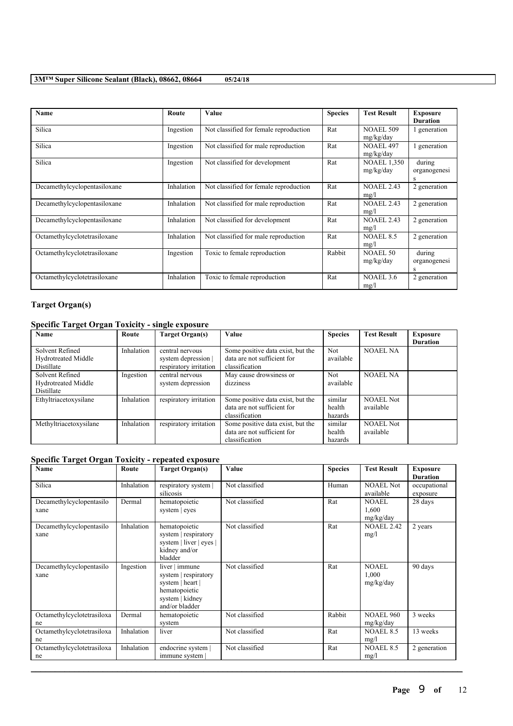| Name                         | Route      | <b>Value</b>                           | <b>Species</b> | <b>Test Result</b>              | <b>Exposure</b><br><b>Duration</b> |
|------------------------------|------------|----------------------------------------|----------------|---------------------------------|------------------------------------|
| Silica                       | Ingestion  | Not classified for female reproduction | Rat            | <b>NOAEL 509</b><br>mg/kg/day   | generation                         |
| Silica                       | Ingestion  | Not classified for male reproduction   | Rat            | <b>NOAEL 497</b><br>mg/kg/day   | generation                         |
| Silica                       | Ingestion  | Not classified for development         | Rat            | <b>NOAEL 1.350</b><br>mg/kg/day | during<br>organogenesi<br>S        |
| Decamethylcyclopentasiloxane | Inhalation | Not classified for female reproduction | Rat            | <b>NOAEL 2.43</b><br>mg/l       | 2 generation                       |
| Decamethylcyclopentasiloxane | Inhalation | Not classified for male reproduction   | Rat            | <b>NOAEL 2.43</b><br>mg/l       | 2 generation                       |
| Decamethylcyclopentasiloxane | Inhalation | Not classified for development         | Rat            | <b>NOAEL 2.43</b><br>mg/l       | 2 generation                       |
| Octamethylcyclotetrasiloxane | Inhalation | Not classified for male reproduction   | Rat            | <b>NOAEL 8.5</b><br>mg/l        | 2 generation                       |
| Octamethylcyclotetrasiloxane | Ingestion  | Toxic to female reproduction           | Rabbit         | NOAEL 50<br>mg/kg/day           | during<br>organogenesi             |
| Octamethylcyclotetrasiloxane | Inhalation | Toxic to female reproduction           | Rat            | NOAEL <sub>3.6</sub><br>mg/l    | 2 generation                       |

## **Target Organ(s)**

## **Specific Target Organ Toxicity - single exposure**

| <b>Name</b>                                                        | Route      | Target Organ(s)                                                  | Value                                                                              | <b>Species</b>               | <b>Test Result</b>            | <b>Exposure</b><br><b>Duration</b> |
|--------------------------------------------------------------------|------------|------------------------------------------------------------------|------------------------------------------------------------------------------------|------------------------------|-------------------------------|------------------------------------|
| Solvent Refined<br><b>Hydrotreated Middle</b><br><b>Distillate</b> | Inhalation | central nervous<br>system depression  <br>respiratory irritation | Some positive data exist, but the<br>data are not sufficient for<br>classification | <b>Not</b><br>available      | <b>NOAEL NA</b>               |                                    |
| Solvent Refined<br><b>Hydrotreated Middle</b><br><b>Distillate</b> | Ingestion  | central nervous<br>system depression                             | May cause drowsiness or<br>dizziness                                               | <b>Not</b><br>available      | <b>NOAEL NA</b>               |                                    |
| Ethyltriacetoxysilane                                              | Inhalation | respiratory irritation                                           | Some positive data exist, but the<br>data are not sufficient for<br>classification | similar<br>health<br>hazards | <b>NOAEL Not</b><br>available |                                    |
| Methyltriacetoxysilane                                             | Inhalation | respiratory irritation                                           | Some positive data exist, but the<br>data are not sufficient for<br>classification | similar<br>health<br>hazards | <b>NOAEL Not</b><br>available |                                    |

## **Specific Target Organ Toxicity - repeated exposure**

| Name                             | Route      | <b>Target Organ(s)</b>                                                                                           | Value          | <b>Species</b> | <b>Test Result</b>                 | <b>Exposure</b><br><b>Duration</b> |
|----------------------------------|------------|------------------------------------------------------------------------------------------------------------------|----------------|----------------|------------------------------------|------------------------------------|
| Silica                           | Inhalation | respiratory system  <br>silicosis                                                                                | Not classified | Human          | <b>NOAEL Not</b><br>available      | occupational<br>exposure           |
| Decamethylcyclopentasilo<br>xane | Dermal     | hematopoietic<br>system   eyes                                                                                   | Not classified | Rat            | <b>NOAEL</b><br>1,600<br>mg/kg/day | 28 days                            |
| Decamethylcyclopentasilo<br>xane | Inhalation | hematopoietic<br>system   respiratory<br>system   liver   eyes  <br>kidney and/or<br>bladder                     | Not classified | Rat            | <b>NOAEL 2.42</b><br>mg/l          | 2 years                            |
| Decamethylcyclopentasilo<br>xane | Ingestion  | $liver$ immune<br>system   respiratory<br>system   heart  <br>hematopoietic<br>system   kidney<br>and/or bladder | Not classified | Rat            | <b>NOAEL</b><br>1,000<br>mg/kg/day | 90 days                            |
| Octamethylcyclotetrasiloxa<br>ne | Dermal     | hematopoietic<br>system                                                                                          | Not classified | Rabbit         | <b>NOAEL 960</b><br>mg/kg/day      | 3 weeks                            |
| Octamethylcyclotetrasiloxa<br>ne | Inhalation | liver                                                                                                            | Not classified | Rat            | <b>NOAEL 8.5</b><br>mg/l           | 13 weeks                           |
| Octamethylcyclotetrasiloxa<br>ne | Inhalation | endocrine system  <br>immune system                                                                              | Not classified | Rat            | <b>NOAEL 8.5</b><br>mg/l           | 2 generation                       |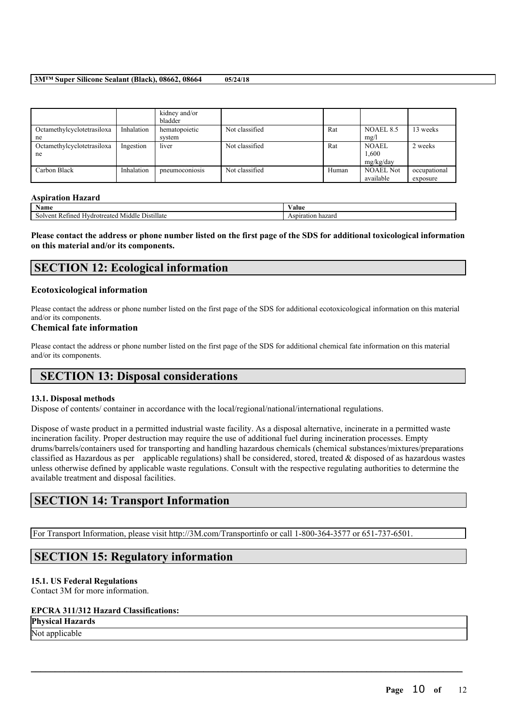|                                  |            | kidney and/or<br>bladder |                |       |                                    |                          |
|----------------------------------|------------|--------------------------|----------------|-------|------------------------------------|--------------------------|
| Octamethylcyclotetrasiloxa<br>ne | Inhalation | hematopoietic<br>system  | Not classified | Rat   | NOAEL 8.5<br>mg/l                  | 13 weeks                 |
| Octamethylcyclotetrasiloxa<br>ne | Ingestion  | liver                    | Not classified | Rat   | <b>NOAEL</b><br>1,600<br>mg/kg/day | 2 weeks                  |
| Carbon Black                     | Inhalation | pneumoconiosis           | Not classified | Human | <b>NOAEL Not</b><br>available      | occupational<br>exposure |

### **Aspiration Hazard**

| $\mathbf{r}$<br>Name                                                                                    | 'alue                         |
|---------------------------------------------------------------------------------------------------------|-------------------------------|
| <b>Service</b> Contract of<br>$\cdots$<br>Distillate<br>Middle<br>reate<br>'ineo<br>Hvdrofi<br>ำ≏m<br>◡ | Aspiration<br>フロド<br>- Hazaru |

Please contact the address or phone number listed on the first page of the SDS for additional toxicological information **on this material and/or its components.**

# **SECTION 12: Ecological information**

### **Ecotoxicological information**

Please contact the address or phone number listed on the first page of the SDS for additional ecotoxicological information on this material and/or its components.

### **Chemical fate information**

Please contact the address or phone number listed on the first page of the SDS for additional chemical fate information on this material and/or its components.

# **SECTION 13: Disposal considerations**

### **13.1. Disposal methods**

Dispose of contents/ container in accordance with the local/regional/national/international regulations.

Dispose of waste product in a permitted industrial waste facility. As a disposal alternative, incinerate in a permitted waste incineration facility. Proper destruction may require the use of additional fuel during incineration processes. Empty drums/barrels/containers used for transporting and handling hazardous chemicals (chemical substances/mixtures/preparations classified as Hazardous as per applicable regulations) shall be considered, stored, treated  $\&$  disposed of as hazardous wastes unless otherwise defined by applicable waste regulations. Consult with the respective regulating authorities to determine the available treatment and disposal facilities.

 $\mathcal{L}_\mathcal{L} = \mathcal{L}_\mathcal{L} = \mathcal{L}_\mathcal{L} = \mathcal{L}_\mathcal{L} = \mathcal{L}_\mathcal{L} = \mathcal{L}_\mathcal{L} = \mathcal{L}_\mathcal{L} = \mathcal{L}_\mathcal{L} = \mathcal{L}_\mathcal{L} = \mathcal{L}_\mathcal{L} = \mathcal{L}_\mathcal{L} = \mathcal{L}_\mathcal{L} = \mathcal{L}_\mathcal{L} = \mathcal{L}_\mathcal{L} = \mathcal{L}_\mathcal{L} = \mathcal{L}_\mathcal{L} = \mathcal{L}_\mathcal{L}$ 

# **SECTION 14: Transport Information**

For Transport Information, please visit http://3M.com/Transportinfo or call 1-800-364-3577 or 651-737-6501.

# **SECTION 15: Regulatory information**

### **15.1. US Federal Regulations**

Contact 3M for more information.

## **EPCRA 311/312 Hazard Classifications:**

**Physical Hazards**

Not applicable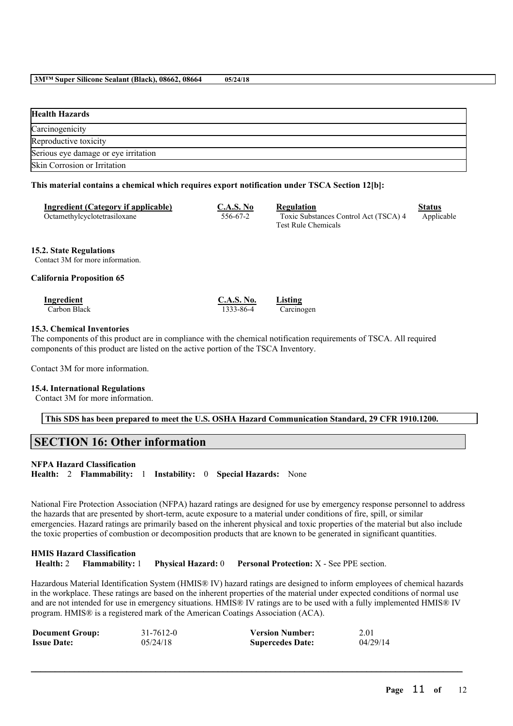| <b>Health Hazards</b>                |
|--------------------------------------|
| Carcinogenicity                      |
| Reproductive toxicity                |
| Serious eye damage or eye irritation |
| Skin Corrosion or Irritation         |

### **This material contains a chemical which requires export notification under TSCA Section 12[b]:**

| Ingredient (Category if applicable)<br>Octamethylcyclotetrasiloxane | C.A.S. No<br>556-67-2 | Regulation<br>Toxic Substances Control Act (TSCA) 4<br><b>Test Rule Chemicals</b> | Status<br>Applicable |
|---------------------------------------------------------------------|-----------------------|-----------------------------------------------------------------------------------|----------------------|
|                                                                     |                       |                                                                                   |                      |

#### **15.2. State Regulations**

Contact 3M for more information.

### **California Proposition 65**

| Ingredient   | <b>C.A.S. No.</b> | Listing    |
|--------------|-------------------|------------|
| Carbon Black | 1333-86-4         | Carcinogen |

### **15.3. Chemical Inventories**

The components of this product are in compliance with the chemical notification requirements of TSCA. All required components of this product are listed on the active portion of the TSCA Inventory.

Contact 3M for more information.

### **15.4. International Regulations**

Contact 3M for more information.

**This SDS has been prepared to meet the U.S. OSHA Hazard Communication Standard, 29 CFR 1910.1200.**

# **SECTION 16: Other information**

### **NFPA Hazard Classification**

**Health:** 2 **Flammability:** 1 **Instability:** 0 **Special Hazards:** None

National Fire Protection Association (NFPA) hazard ratings are designed for use by emergency response personnel to address the hazards that are presented by short-term, acute exposure to a material under conditions of fire, spill, or similar emergencies. Hazard ratings are primarily based on the inherent physical and toxic properties of the material but also include the toxic properties of combustion or decomposition products that are known to be generated in significant quantities.

**HMIS Hazard Classification Health:** 2 **Flammability:** 1 **Physical Hazard:** 0 **Personal Protection:** X - See PPE section.

Hazardous Material Identification System (HMIS® IV) hazard ratings are designed to inform employees of chemical hazards in the workplace. These ratings are based on the inherent properties of the material under expected conditions of normal use and are not intended for use in emergency situations. HMIS® IV ratings are to be used with a fully implemented HMIS® IV program. HMIS® is a registered mark of the American Coatings Association (ACA).

| <b>Document Group:</b> | 31-7612-0 | <b>Version Number:</b>  | 2.01     |
|------------------------|-----------|-------------------------|----------|
| <b>Issue Date:</b>     | 05/24/18  | <b>Supercedes Date:</b> | 04/29/14 |